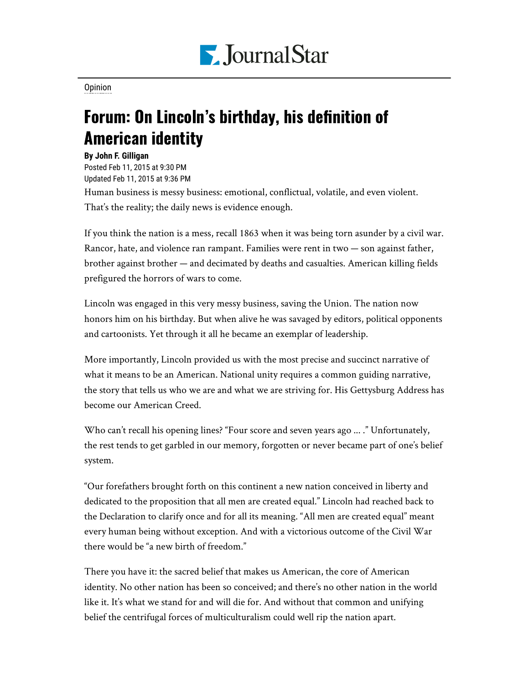

[Opinion](https://www.pjstar.com/search?text=Opinion)

## Forum: On Lincoln's birthday, his definition of American identity

## **By John F. Gilligan**

Posted Feb 11, 2015 at 9:30 PM Updated Feb 11, 2015 at 9:36 PM

Human business is messy business: emotional, conflictual, volatile, and even violent. That's the reality; the daily news is evidence enough.

If you think the nation is a mess, recall 1863 when it was being torn asunder by a civil war. Rancor, hate, and violence ran rampant. Families were rent in two — son against father, brother against brother — and decimated by deaths and casualties. American killing fields prefigured the horrors of wars to come.

Lincoln was engaged in this very messy business, saving the Union. The nation now honors him on his birthday. But when alive he was savaged by editors, political opponents and cartoonists. Yet through it all he became an exemplar of leadership.

More importantly, Lincoln provided us with the most precise and succinct narrative of what it means to be an American. National unity requires a common guiding narrative, the story that tells us who we are and what we are striving for. His Gettysburg Address has become our American Creed.

Who can't recall his opening lines? "Four score and seven years ago ... ." Unfortunately, the rest tends to get garbled in our memory, forgotten or never became part of one's belief system.

"Our forefathers brought forth on this continent a new nation conceived in liberty and dedicated to the proposition that all men are created equal." Lincoln had reached back to the Declaration to clarify once and for all its meaning. "All men are created equal" meant every human being without exception. And with a victorious outcome of the Civil War there would be "a new birth of freedom."

There you have it: the sacred belief that makes us American, the core of American identity. No other nation has been so conceived; and there's no other nation in the world like it. It's what we stand for and will die for. And without that common and unifying belief the centrifugal forces of multiculturalism could well rip the nation apart.